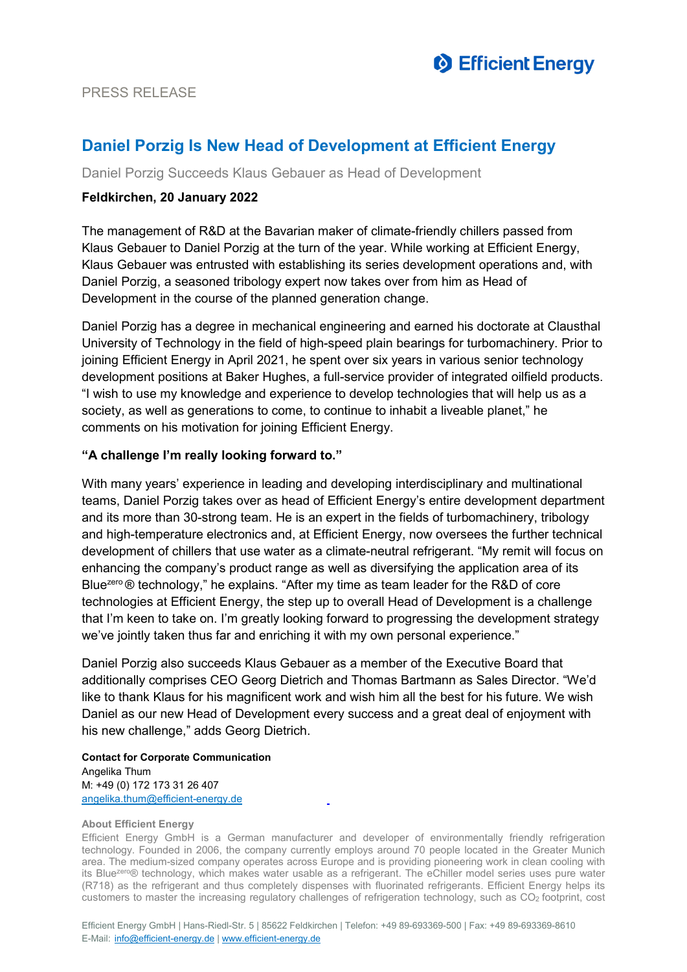

# **Daniel Porzig Is New Head of Development at Efficient Energy**

Daniel Porzig Succeeds Klaus Gebauer as Head of Development

### **Feldkirchen, 20 January 2022**

The management of R&D at the Bavarian maker of climate-friendly chillers passed from Klaus Gebauer to Daniel Porzig at the turn of the year. While working at Efficient Energy, Klaus Gebauer was entrusted with establishing its series development operations and, with Daniel Porzig, a seasoned tribology expert now takes over from him as Head of Development in the course of the planned generation change.

Daniel Porzig has a degree in mechanical engineering and earned his doctorate at Clausthal University of Technology in the field of high-speed plain bearings for turbomachinery. Prior to joining Efficient Energy in April 2021, he spent over six years in various senior technology development positions at Baker Hughes, a full-service provider of integrated oilfield products. "I wish to use my knowledge and experience to develop technologies that will help us as a society, as well as generations to come, to continue to inhabit a liveable planet," he comments on his motivation for joining Efficient Energy.

### **"A challenge I'm really looking forward to."**

With many years' experience in leading and developing interdisciplinary and multinational teams, Daniel Porzig takes over as head of Efficient Energy's entire development department and its more than 30-strong team. He is an expert in the fields of turbomachinery, tribology and high-temperature electronics and, at Efficient Energy, now oversees the further technical development of chillers that use water as a climate-neutral refrigerant. "My remit will focus on enhancing the company's product range as well as diversifying the application area of its Bluezero ® technology," he explains. "After my time as team leader for the R&D of core technologies at Efficient Energy, the step up to overall Head of Development is a challenge that I'm keen to take on. I'm greatly looking forward to progressing the development strategy we've jointly taken thus far and enriching it with my own personal experience."

Daniel Porzig also succeeds Klaus Gebauer as a member of the Executive Board that additionally comprises CEO Georg Dietrich and Thomas Bartmann as Sales Director. "We'd like to thank Klaus for his magnificent work and wish him all the best for his future. We wish Daniel as our new Head of Development every success and a great deal of enjoyment with his new challenge," adds Georg Dietrich.

**Contact for Corporate Communication** Angelika Thum M: +49 (0) 172 173 31 26 407 [angelika.thum@efficient-energy.de](mailto:angelika.thum@efficient-energy.de)

#### **About Efficient Energy**

Efficient Energy GmbH is a German manufacturer and developer of environmentally friendly refrigeration technology. Founded in 2006, the company currently employs around 70 people located in the Greater Munich area. The medium-sized company operates across Europe and is providing pioneering work in clean cooling with its Bluezer<sup>o®</sup> technology, which makes water usable as a refrigerant. The eChiller model series uses pure water (R718) as the refrigerant and thus completely dispenses with fluorinated refrigerants. Efficient Energy helps its customers to master the increasing regulatory challenges of refrigeration technology, such as CO2 footprint, cost